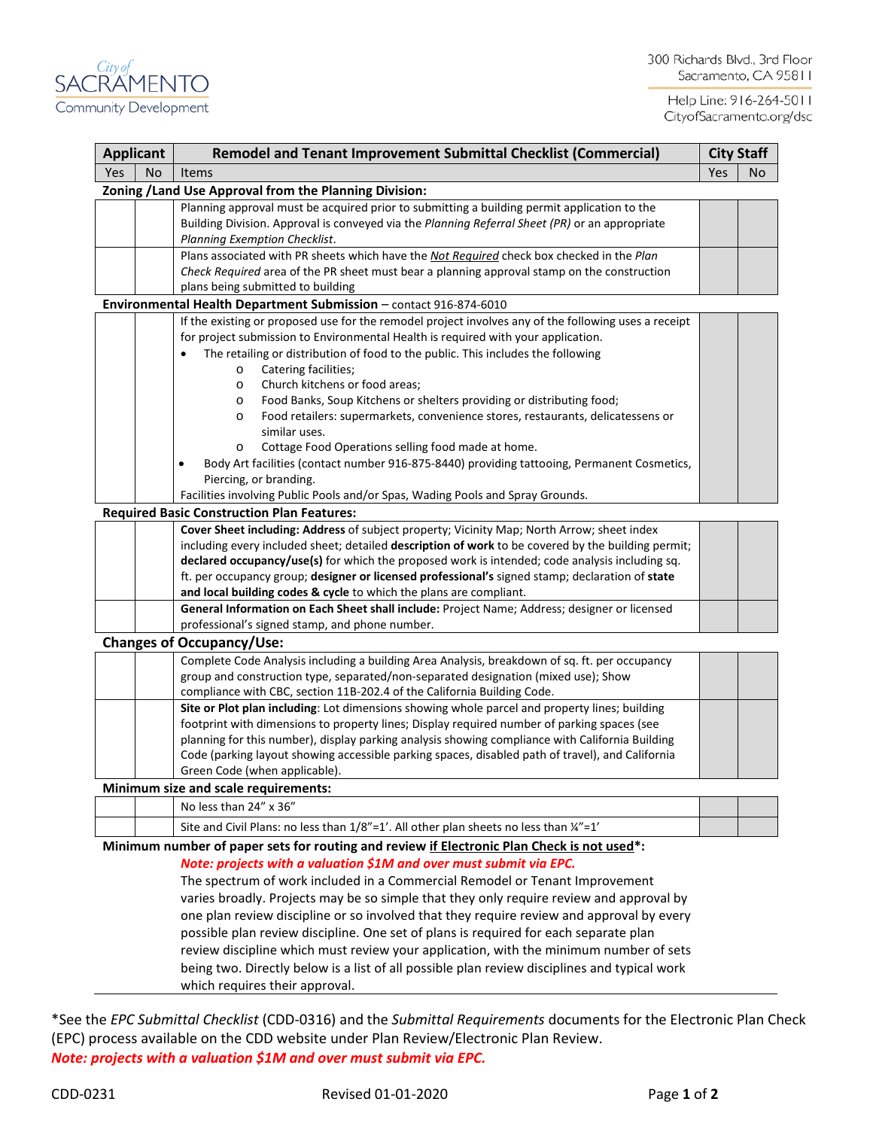



| <b>Applicant</b> |           | Remodel and Tenant Improvement Submittal Checklist (Commercial)                                                                     |     | <b>City Staff</b> |
|------------------|-----------|-------------------------------------------------------------------------------------------------------------------------------------|-----|-------------------|
| Yes              | <b>No</b> | Items                                                                                                                               | Yes | No                |
|                  |           | Zoning / Land Use Approval from the Planning Division:                                                                              |     |                   |
|                  |           | Planning approval must be acquired prior to submitting a building permit application to the                                         |     |                   |
|                  |           | Building Division. Approval is conveyed via the Planning Referral Sheet (PR) or an appropriate                                      |     |                   |
|                  |           | Planning Exemption Checklist.                                                                                                       |     |                   |
|                  |           | Plans associated with PR sheets which have the Not Required check box checked in the Plan                                           |     |                   |
|                  |           | Check Required area of the PR sheet must bear a planning approval stamp on the construction                                         |     |                   |
|                  |           | plans being submitted to building                                                                                                   |     |                   |
|                  |           | Environmental Health Department Submission - contact 916-874-6010                                                                   |     |                   |
|                  |           | If the existing or proposed use for the remodel project involves any of the following uses a receipt                                |     |                   |
|                  |           | for project submission to Environmental Health is required with your application.                                                   |     |                   |
|                  |           | The retailing or distribution of food to the public. This includes the following                                                    |     |                   |
|                  |           | Catering facilities;<br>$\circ$                                                                                                     |     |                   |
|                  |           | Church kitchens or food areas;<br>$\circ$                                                                                           |     |                   |
|                  |           | Food Banks, Soup Kitchens or shelters providing or distributing food;<br>$\circ$                                                    |     |                   |
|                  |           | Food retailers: supermarkets, convenience stores, restaurants, delicatessens or<br>$\circ$                                          |     |                   |
|                  |           | similar uses.                                                                                                                       |     |                   |
|                  |           | Cottage Food Operations selling food made at home.<br>$\circ$                                                                       |     |                   |
|                  |           | Body Art facilities (contact number 916-875-8440) providing tattooing, Permanent Cosmetics,                                         |     |                   |
|                  |           | Piercing, or branding.                                                                                                              |     |                   |
|                  |           | Facilities involving Public Pools and/or Spas, Wading Pools and Spray Grounds.<br><b>Required Basic Construction Plan Features:</b> |     |                   |
|                  |           | Cover Sheet including: Address of subject property; Vicinity Map; North Arrow; sheet index                                          |     |                   |
|                  |           | including every included sheet; detailed description of work to be covered by the building permit;                                  |     |                   |
|                  |           | declared occupancy/use(s) for which the proposed work is intended; code analysis including sq.                                      |     |                   |
|                  |           | ft. per occupancy group; designer or licensed professional's signed stamp; declaration of state                                     |     |                   |
|                  |           | and local building codes & cycle to which the plans are compliant.                                                                  |     |                   |
|                  |           | General Information on Each Sheet shall include: Project Name; Address; designer or licensed                                        |     |                   |
|                  |           | professional's signed stamp, and phone number.                                                                                      |     |                   |
|                  |           | <b>Changes of Occupancy/Use:</b>                                                                                                    |     |                   |
|                  |           | Complete Code Analysis including a building Area Analysis, breakdown of sq. ft. per occupancy                                       |     |                   |
|                  |           | group and construction type, separated/non-separated designation (mixed use); Show                                                  |     |                   |
|                  |           | compliance with CBC, section 11B-202.4 of the California Building Code.                                                             |     |                   |
|                  |           | Site or Plot plan including: Lot dimensions showing whole parcel and property lines; building                                       |     |                   |
|                  |           | footprint with dimensions to property lines; Display required number of parking spaces (see                                         |     |                   |
|                  |           | planning for this number), display parking analysis showing compliance with California Building                                     |     |                   |
|                  |           | Code (parking layout showing accessible parking spaces, disabled path of travel), and California                                    |     |                   |
|                  |           | Green Code (when applicable).                                                                                                       |     |                   |
|                  |           | Minimum size and scale requirements:                                                                                                |     |                   |
|                  |           | No less than 24" x 36"                                                                                                              |     |                   |
|                  |           | Site and Civil Plans: no less than 1/8"=1'. All other plan sheets no less than 1/4"=1"                                              |     |                   |
|                  |           | Minimum number of paper sets for routing and review if Electronic Plan Check is not used*:                                          |     |                   |
|                  |           |                                                                                                                                     |     |                   |
|                  |           | Note: projects with a valuation \$1M and over must submit via EPC.                                                                  |     |                   |
|                  |           | The spectrum of work included in a Commercial Remodel or Tenant Improvement                                                         |     |                   |

varies broadly. Projects may be so simple that they only require review and approval by one plan review discipline or so involved that they require review and approval by every possible plan review discipline. One set of plans is required for each separate plan review discipline which must review your application, with the minimum number of sets being two. Directly below is a list of all possible plan review disciplines and typical work which requires their approval.

\*See the *EPC Submittal Checklist* (CDD-0316) and the *Submittal Requirements* documents for the Electronic Plan Check (EPC) process available on the CDD website under Plan Review/Electronic Plan Review. *Note: projects with a valuation \$1M and over must submit via EPC.*

SACRAMENTO

**Community Development**